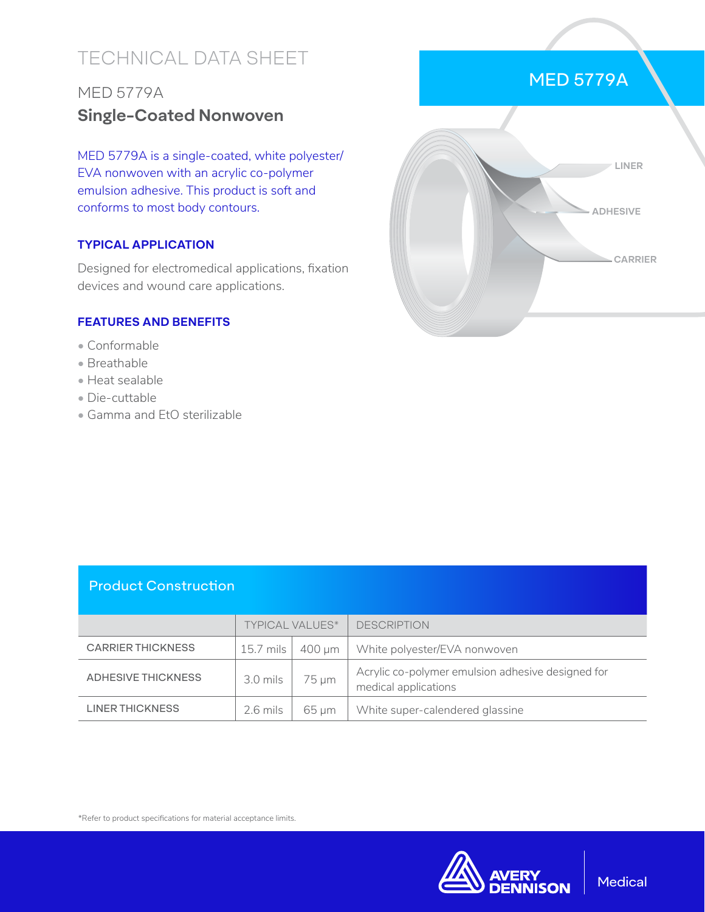# TECHNICAL DATA SHEET

## MED 5779A **Single-Coated Nonwoven**

MED 5779A is a single-coated, white polyester/ EVA nonwoven with an acrylic co-polymer emulsion adhesive. This product is soft and conforms to most body contours.

### **TYPICAL APPLICATION**

Designed for electromedical applications, fixation devices and wound care applications.

#### **FEATURES AND BENEFITS**

- Conformable
- Breathable
- Heat sealable
- Die-cuttable
- Gamma and EtO sterilizable



#### Product Construction

|                           | <b>TYPICAL VALUES*</b> |            | <b>DESCRIPTION</b>                                                        |
|---------------------------|------------------------|------------|---------------------------------------------------------------------------|
| <b>CARRIER THICKNESS</b>  | 15.7 mils              | 400 um     | White polyester/EVA nonwoven                                              |
| <b>ADHESIVE THICKNESS</b> | $3.0$ mils             | $75 \mu m$ | Acrylic co-polymer emulsion adhesive designed for<br>medical applications |
| <b>LINER THICKNESS</b>    | $2.6$ mils             | 65 um      | White super-calendered glassine                                           |

\*Refer to product specifications for material acceptance limits.